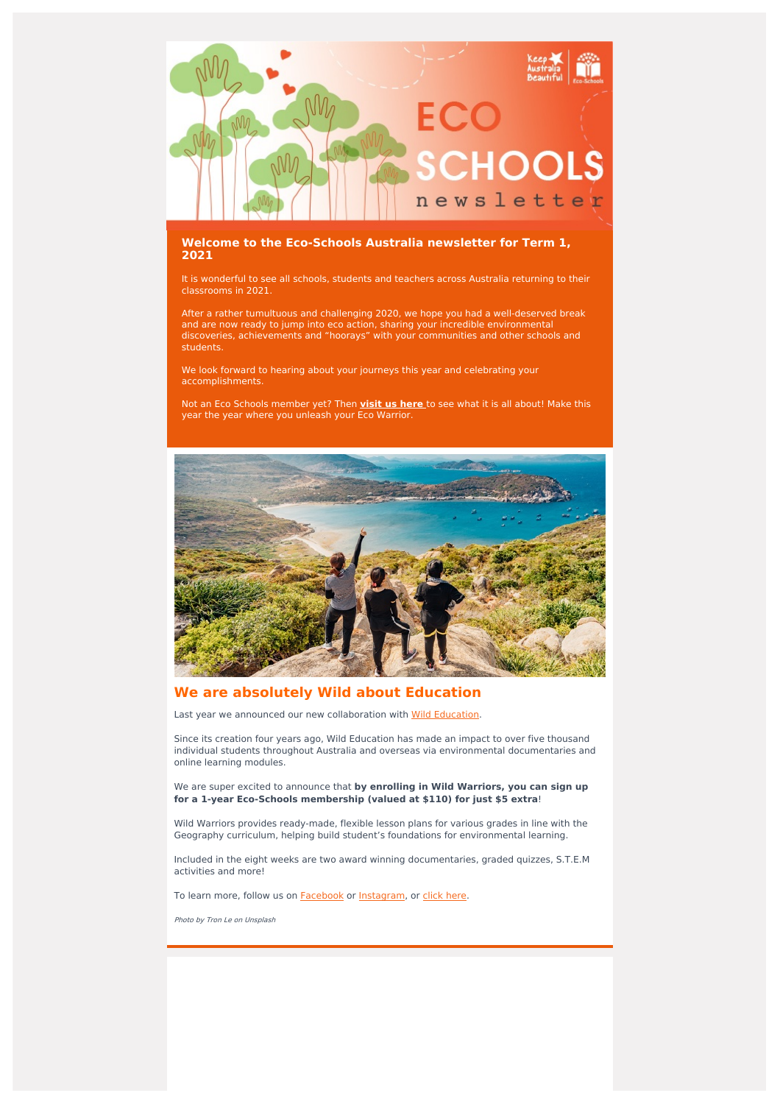

#### **Welcome to the Eco-Schools Australia newsletter for Term 1, 2021**

It is wonderful to see all schools, students and teachers across Australia returning to their classrooms in 2021.

After a rather tumultuous and challenging 2020, we hope you had a well-deserved break and are now ready to jump into eco action, sharing your incredible environmental discoveries, achievements and "hoorays" with your communities and other schools and students.

We look forward to hearing about your journeys this year and celebrating your accomplishments.

Not an Eco Schools member yet? Then **visit us [here](https://www.eco-schools.org.au/)** to see what it is all about! Make this year the year where you unleash your Eco Warrior.



#### **We are absolutely Wild about Education**

Last year we announced our new collaboration with Wild [Education](https://wildeducation.net/).

Since its creation four years ago, Wild Education has made an impact to over five thousand individual students throughout Australia and overseas via environmental documentaries and online learning modules.

We are super excited to announce that **by enrolling in Wild Warriors, you can sign up for a 1-year Eco-Schools membership (valued at \$110) for just \$5 extra**!

Wild Warriors provides ready-made, flexible lesson plans for various grades in line with the Geography curriculum, helping build student's foundations for environmental learning.

Included in the eight weeks are two award winning documentaries, graded quizzes, S.T.E.M activities and more!

To learn more, follow us on **[Facebook](https://www.facebook.com/ecoschoolsaustralia/)** or **Instagram**, or click [here.](https://fb.watch/3pO3DYnqNI/)

Photo by Tron Le on Unsplash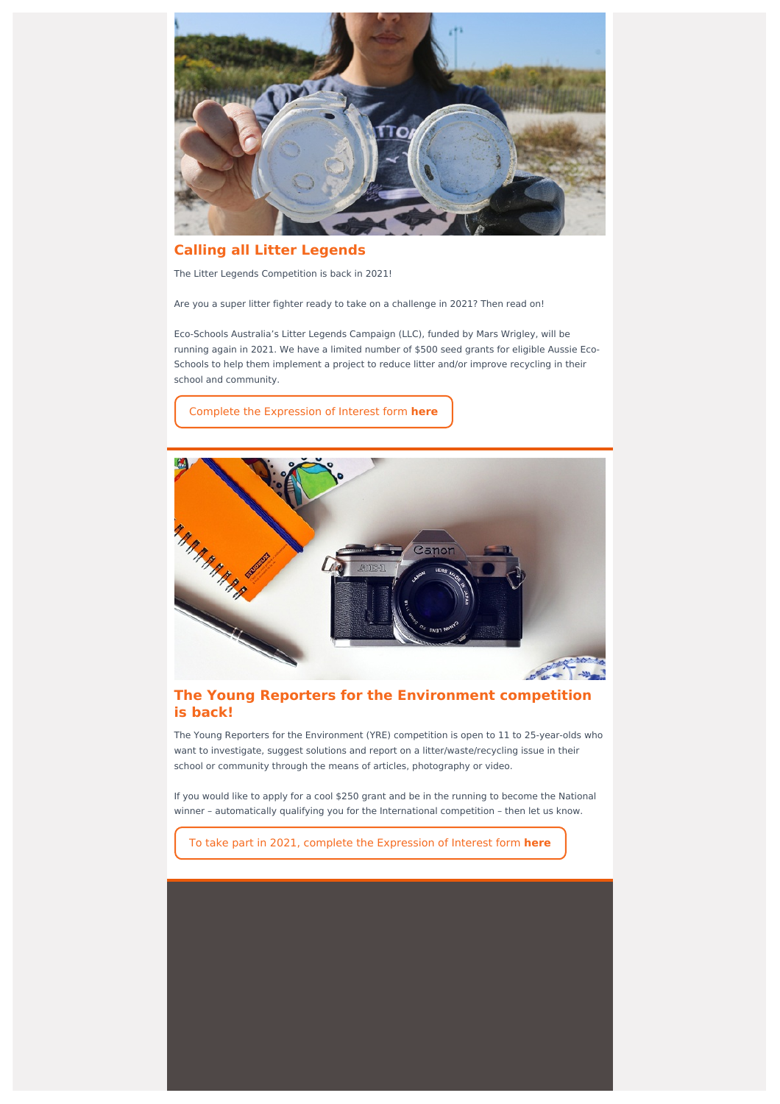

## **Calling all Litter Legends**

The Litter Legends Competition is back in 2021!

Are you a super litter fighter ready to take on a challenge in 2021? Then read on!

Eco-Schools Australia's Litter Legends Campaign (LLC), funded by Mars Wrigley, will be running again in 2021. We have a limited number of \$500 seed grants for eligible Aussie Eco-Schools to help them implement a project to reduce litter and/or improve recycling in their school and community.

Complete the [Expression](https://www.eco-schools.org.au/2021-litter-legends-campaign) of Interest form **here**



### **The Young Reporters for the Environment competition is back!**

The Young Reporters for the Environment (YRE) competition is open to 11 to 25-year-olds who want to investigate, suggest solutions and report on a litter/waste/recycling issue in their school or community through the means of articles, photography or video.

If you would like to apply for a cool \$250 grant and be in the running to become the National winner – automatically qualifying you for the International competition – then let us know.

To take part in 2021, complete the [Expression](https://www.eco-schools.org.au/2021-young-reporters-environment-competition) of Interest form **here**